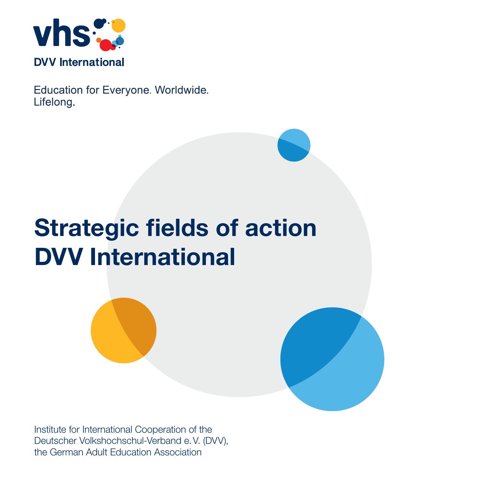

Education for Everyone. Worldwide. Lifelong.

# **Strategic fields of action DVV International**





Institute for International Cooperation of the Deutscher Volkshochschul-Verband e. V. (DVV), the German Adult Education Association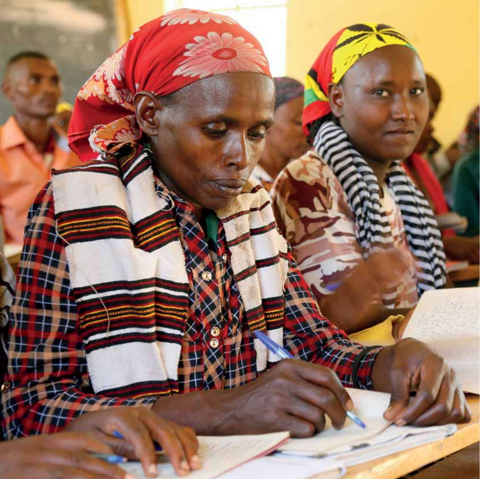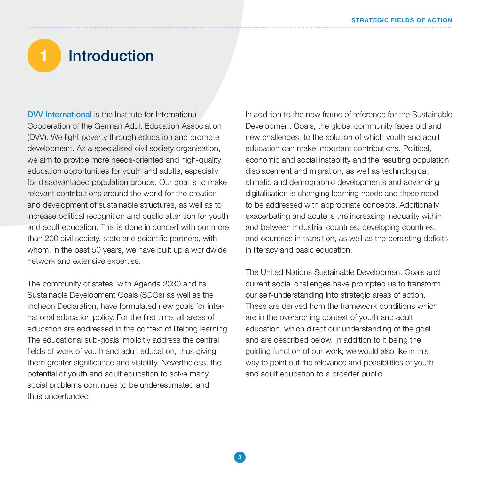#### **1** Introduction

DVV International is the Institute for International Cooperation of the German Adult Education Association (DVV). We fight poverty through education and promote development. As a specialised civil society organisation, we aim to provide more needs-oriented and high-quality education opportunities for youth and adults, especially for disadvantaged population groups. Our goal is to make relevant contributions around the world for the creation and development of sustainable structures, as well as to increase political recognition and public attention for youth and adult education. This is done in concert with our more than 200 civil society, state and scientific partners, with whom, in the past 50 years, we have built up a worldwide network and extensive expertise.

The community of states, with Agenda 2030 and its Sustainable Development Goals (SDGs) as well as the Incheon Declaration, have formulated new goals for international education policy. For the first time, all areas of education are addressed in the context of lifelong learning. The educational sub-goals implicitly address the central fields of work of youth and adult education, thus giving them greater significance and visibility. Nevertheless, the potential of youth and adult education to solve many social problems continues to be underestimated and thus underfunded.

In addition to the new frame of reference for the Sustainable Development Goals, the global community faces old and new challenges, to the solution of which youth and adult education can make important contributions. Political, economic and social instability and the resulting population displacement and migration, as well as technological, climatic and demographic developments and advancing digitalisation is changing learning needs and these need to be addressed with appropriate concepts. Additionally exacerbating and acute is the increasing inequality within and between industrial countries, developing countries, and countries in transition, as well as the persisting deficits in literacy and basic education.

The United Nations Sustainable Development Goals and current social challenges have prompted us to transform our self-understanding into strategic areas of action. These are derived from the framework conditions which are in the overarching context of youth and adult education, which direct our understanding of the goal and are described below. In addition to it being the guiding function of our work, we would also like in this way to point out the relevance and possibilities of youth and adult education to a broader public.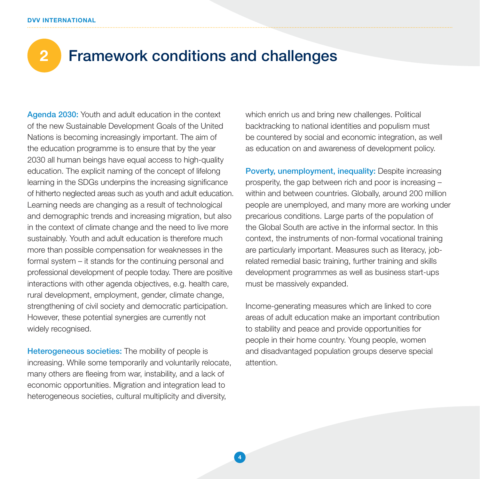**2**

# Framework conditions and challenges

Agenda 2030: Youth and adult education in the context of the new Sustainable Development Goals of the United Nations is becoming increasingly important. The aim of the education programme is to ensure that by the year 2030 all human beings have equal access to high-quality education. The explicit naming of the concept of lifelong learning in the SDGs underpins the increasing significance of hitherto neglected areas such as youth and adult education. Learning needs are changing as a result of technological and demographic trends and increasing migration, but also in the context of climate change and the need to live more sustainably. Youth and adult education is therefore much more than possible compensation for weaknesses in the formal system – it stands for the continuing personal and professional development of people today. There are positive interactions with other agenda objectives, e.g. health care, rural development, employment, gender, climate change, strengthening of civil society and democratic participation. However, these potential synergies are currently not widely recognised.

Heterogeneous societies: The mobility of people is increasing. While some temporarily and voluntarily relocate, many others are fleeing from war, instability, and a lack of economic opportunities. Migration and integration lead to heterogeneous societies, cultural multiplicity and diversity,

which enrich us and bring new challenges. Political backtracking to national identities and populism must be countered by social and economic integration, as well as education on and awareness of development policy.

Poverty, unemployment, inequality: Despite increasing prosperity, the gap between rich and poor is increasing – within and between countries. Globally, around 200 million people are unemployed, and many more are working under precarious conditions. Large parts of the population of the Global South are active in the informal sector. In this context, the instruments of non-formal vocational training are particularly important. Measures such as literacy, jobrelated remedial basic training, further training and skills development programmes as well as business start-ups must be massively expanded.

Income-generating measures which are linked to core areas of adult education make an important contribution to stability and peace and provide opportunities for people in their home country. Young people, women and disadvantaged population groups deserve special attention.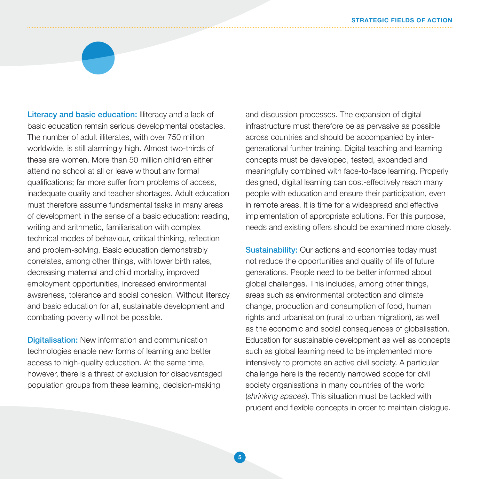Literacy and basic education: Illiteracy and a lack of basic education remain serious developmental obstacles. The number of adult illiterates, with over 750 million worldwide, is still alarmingly high. Almost two-thirds of these are women. More than 50 million children either attend no school at all or leave without any formal qualifications; far more suffer from problems of access, inadequate quality and teacher shortages. Adult education must therefore assume fundamental tasks in many areas of development in the sense of a basic education: reading, writing and arithmetic, familiarisation with complex technical modes of behaviour, critical thinking, reflection and problem-solving. Basic education demonstrably correlates, among other things, with lower birth rates, decreasing maternal and child mortality, improved employment opportunities, increased environmental awareness, tolerance and social cohesion. Without literacy and basic education for all, sustainable development and combating poverty will not be possible.

**Digitalisation:** New information and communication technologies enable new forms of learning and better access to high-quality education. At the same time, however, there is a threat of exclusion for disadvantaged population groups from these learning, decision-making

and discussion processes. The expansion of digital infrastructure must therefore be as pervasive as possible across countries and should be accompanied by intergenerational further training. Digital teaching and learning concepts must be developed, tested, expanded and meaningfully combined with face-to-face learning. Properly designed, digital learning can cost-effectively reach many people with education and ensure their participation, even in remote areas. It is time for a widespread and effective implementation of appropriate solutions. For this purpose, needs and existing offers should be examined more closely.

**Sustainability:** Our actions and economies today must not reduce the opportunities and quality of life of future generations. People need to be better informed about global challenges. This includes, among other things, areas such as environmental protection and climate change, production and consumption of food, human rights and urbanisation (rural to urban migration), as well as the economic and social consequences of globalisation. Education for sustainable development as well as concepts such as global learning need to be implemented more intensively to promote an active civil society. A particular challenge here is the recently narrowed scope for civil society organisations in many countries of the world (shrinking spaces). This situation must be tackled with prudent and flexible concepts in order to maintain dialogue.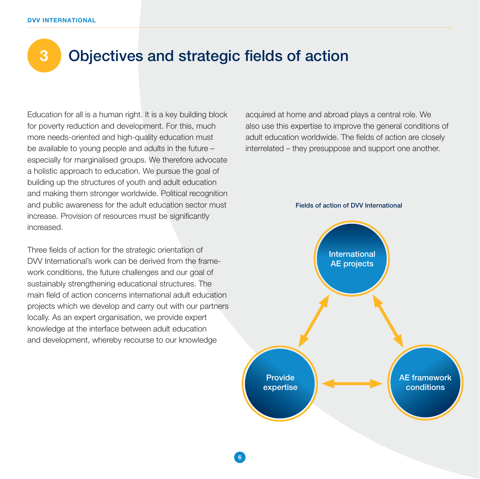#### **DVV INTERNATIONAL**

## **3** Objectives and strategic fields of action

Education for all is a human right. It is a key building block for poverty reduction and development. For this, much more needs-oriented and high-quality education must be available to young people and adults in the future – especially for marginalised groups. We therefore advocate a holistic approach to education. We pursue the goal of building up the structures of youth and adult education and making them stronger worldwide. Political recognition and public awareness for the adult education sector must increase. Provision of resources must be significantly increased.

Three fields of action for the strategic orientation of DVV International's work can be derived from the framework conditions, the future challenges and our goal of sustainably strengthening educational structures. The main field of action concerns international adult education projects which we develop and carry out with our partners locally. As an expert organisation, we provide expert knowledge at the interface between adult education and development, whereby recourse to our knowledge

acquired at home and abroad plays a central role. We also use this expertise to improve the general conditions of adult education worldwide. The fields of action are closely interrelated – they presuppose and support one another.

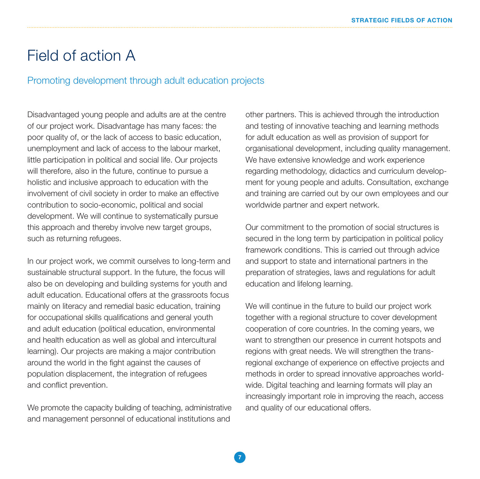### Field of action A

### Promoting development through adult education projects

Disadvantaged young people and adults are at the centre of our project work. Disadvantage has many faces: the poor quality of, or the lack of access to basic education, unemployment and lack of access to the labour market, little participation in political and social life. Our projects will therefore, also in the future, continue to pursue a holistic and inclusive approach to education with the involvement of civil society in order to make an effective contribution to socio-economic, political and social development. We will continue to systematically pursue this approach and thereby involve new target groups, such as returning refugees.

In our project work, we commit ourselves to long-term and sustainable structural support. In the future, the focus will also be on developing and building systems for youth and adult education. Educational offers at the grassroots focus mainly on literacy and remedial basic education, training for occupational skills qualifications and general youth and adult education (political education, environmental and health education as well as global and intercultural learning). Our projects are making a major contribution around the world in the fight against the causes of population displacement, the integration of refugees and conflict prevention.

We promote the capacity building of teaching, administrative and management personnel of educational institutions and

other partners. This is achieved through the introduction and testing of innovative teaching and learning methods for adult education as well as provision of support for organisational development, including quality management. We have extensive knowledge and work experience regarding methodology, didactics and curriculum development for young people and adults. Consultation, exchange and training are carried out by our own employees and our worldwide partner and expert network.

Our commitment to the promotion of social structures is secured in the long term by participation in political policy framework conditions. This is carried out through advice and support to state and international partners in the preparation of strategies, laws and regulations for adult education and lifelong learning.

We will continue in the future to build our project work together with a regional structure to cover development cooperation of core countries. In the coming years, we want to strengthen our presence in current hotspots and regions with great needs. We will strengthen the transregional exchange of experience on effective projects and methods in order to spread innovative approaches worldwide. Digital teaching and learning formats will play an increasingly important role in improving the reach, access and quality of our educational offers.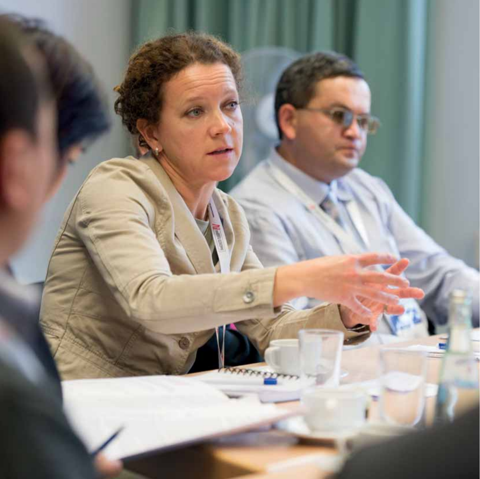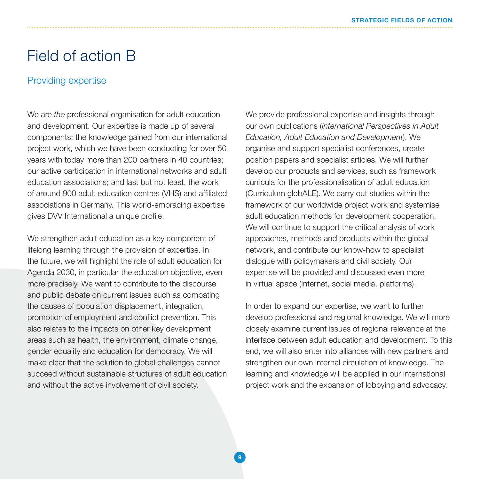### Field of action B

#### Providing expertise

We are the professional organisation for adult education and development. Our expertise is made up of several components: the knowledge gained from our international project work, which we have been conducting for over 50 years with today more than 200 partners in 40 countries; our active participation in international networks and adult education associations; and last but not least, the work of around 900 adult education centres (VHS) and affiliated associations in Germany. This world-embracing expertise gives DVV International a unique profile.

We strengthen adult education as a key component of lifelong learning through the provision of expertise. In the future, we will highlight the role of adult education for Agenda 2030, in particular the education objective, even more precisely. We want to contribute to the discourse and public debate on current issues such as combating the causes of population displacement, integration, promotion of employment and conflict prevention. This also relates to the impacts on other key development areas such as health, the environment, climate change, gender equality and education for democracy. We will make clear that the solution to global challenges cannot succeed without sustainable structures of adult education and without the active involvement of civil society.

We provide professional expertise and insights through our own publications (International Perspectives in Adult Education, Adult Education and Development). We organise and support specialist conferences, create position papers and specialist articles. We will further develop our products and services, such as framework curricula for the professionalisation of adult education (Curriculum globALE). We carry out studies within the framework of our worldwide project work and systemise adult education methods for development cooperation. We will continue to support the critical analysis of work approaches, methods and products within the global network, and contribute our know-how to specialist dialogue with policymakers and civil society. Our expertise will be provided and discussed even more in virtual space (Internet, social media, platforms).

In order to expand our expertise, we want to further develop professional and regional knowledge. We will more closely examine current issues of regional relevance at the interface between adult education and development. To this end, we will also enter into alliances with new partners and strengthen our own internal circulation of knowledge. The learning and knowledge will be applied in our international project work and the expansion of lobbying and advocacy.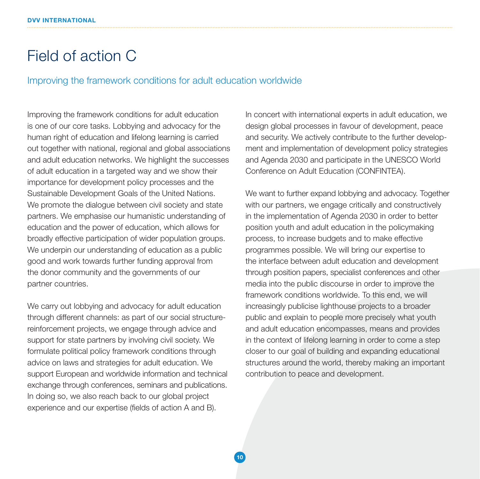### Field of action C

### Improving the framework conditions for adult education worldwide

Improving the framework conditions for adult education is one of our core tasks. Lobbying and advocacy for the human right of education and lifelong learning is carried out together with national, regional and global associations and adult education networks. We highlight the successes of adult education in a targeted way and we show their importance for development policy processes and the Sustainable Development Goals of the United Nations. We promote the dialogue between civil society and state partners. We emphasise our humanistic understanding of education and the power of education, which allows for broadly effective participation of wider population groups. We underpin our understanding of education as a public good and work towards further funding approval from the donor community and the governments of our partner countries.

We carry out lobbying and advocacy for adult education through different channels: as part of our social structurereinforcement projects, we engage through advice and support for state partners by involving civil society. We formulate political policy framework conditions through advice on laws and strategies for adult education. We support European and worldwide information and technical exchange through conferences, seminars and publications. In doing so, we also reach back to our global project experience and our expertise (fields of action A and B).

In concert with international experts in adult education, we design global processes in favour of development, peace and security. We actively contribute to the further development and implementation of development policy strategies and Agenda 2030 and participate in the UNESCO World Conference on Adult Education (CONFINTEA).

We want to further expand lobbying and advocacy. Together with our partners, we engage critically and constructively in the implementation of Agenda 2030 in order to better position youth and adult education in the policymaking process, to increase budgets and to make effective programmes possible. We will bring our expertise to the interface between adult education and development through position papers, specialist conferences and other media into the public discourse in order to improve the framework conditions worldwide. To this end, we will increasingly publicise lighthouse projects to a broader public and explain to people more precisely what youth and adult education encompasses, means and provides in the context of lifelong learning in order to come a step closer to our goal of building and expanding educational structures around the world, thereby making an important contribution to peace and development.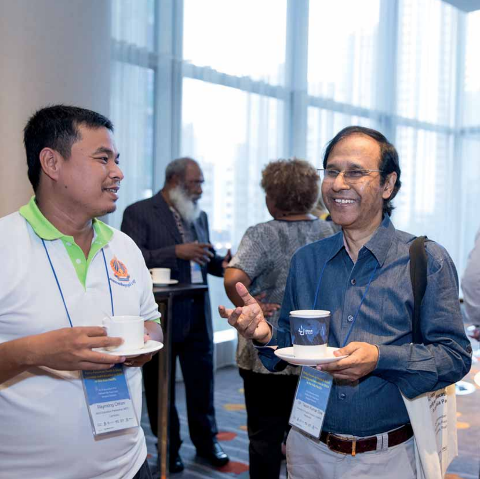